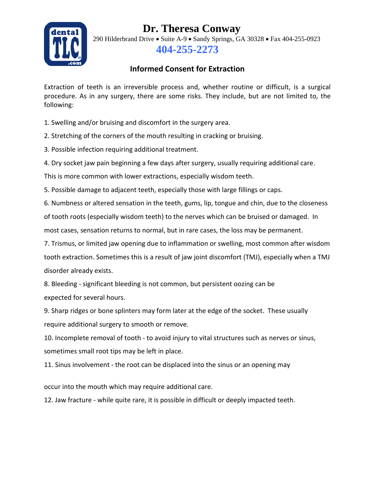## **Dr. Theresa Conway**



290 Hilderbrand Drive • Suite A-9 • Sandy Springs, GA 30328 • Fax 404-255-0923 **404-255-2273**

## **Informed Consent for Extraction**

Extraction of teeth is an irreversible process and, whether routine or difficult, is a surgical procedure. As in any surgery, there are some risks. They include, but are not limited to, the following:

1. Swelling and/or bruising and discomfort in the surgery area.

2. Stretching of the corners of the mouth resulting in cracking or bruising.

3. Possible infection requiring additional treatment.

4. Dry socket jaw pain beginning a few days after surgery, usually requiring additional care.

This is more common with lower extractions, especially wisdom teeth.

5. Possible damage to adjacent teeth, especially those with large fillings or caps.

6. Numbness or altered sensation in the teeth, gums, lip, tongue and chin, due to the closeness of tooth roots (especially wisdom teeth) to the nerves which can be bruised or damaged. In most cases, sensation returns to normal, but in rare cases, the loss may be permanent.

7. Trismus, or limited jaw opening due to inflammation or swelling, most common after wisdom tooth extraction. Sometimes this is a result of jaw joint discomfort (TMJ), especially when a TMJ disorder already exists.

8. Bleeding - significant bleeding is not common, but persistent oozing can be expected for several hours.

9. Sharp ridges or bone splinters may form later at the edge of the socket. These usually require additional surgery to smooth or remove.

10. Incomplete removal of tooth - to avoid injury to vital structures such as nerves or sinus, sometimes small root tips may be left in place.

11. Sinus involvement - the root can be displaced into the sinus or an opening may

occur into the mouth which may require additional care.

12. Jaw fracture - while quite rare, it is possible in difficult or deeply impacted teeth.